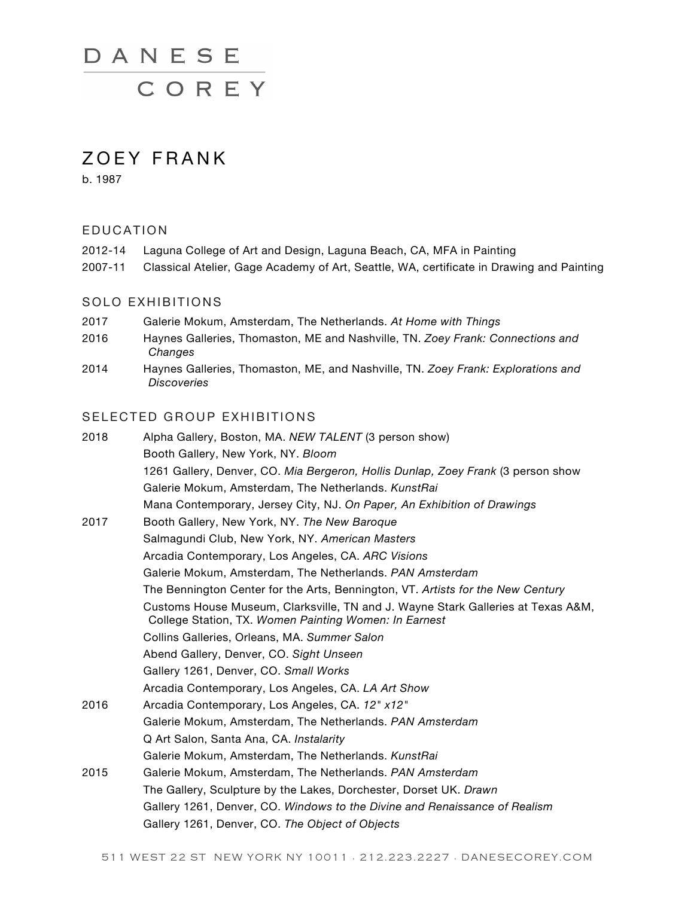# DANESE

COREY

## ZOEY FRANK

b. 1987

#### EDUCATION

| 2012-14 | Laguna College of Art and Design, Laguna Beach, CA, MFA in Painting                      |
|---------|------------------------------------------------------------------------------------------|
| 2007-11 | Classical Atelier, Gage Academy of Art, Seattle, WA, certificate in Drawing and Painting |

#### SOLO EXHIBITIONS

- 2017 Galerie Mokum, Amsterdam, The Netherlands. *At Home with Things*
- 2016 Haynes Galleries, Thomaston, ME and Nashville, TN. *Zoey Frank: Connections and Changes*
- 2014 Haynes Galleries, Thomaston, ME, and Nashville, TN. *Zoey Frank: Explorations and Discoveries*

### SELECTED GROUP EXHIBITIONS

| 2018 | Alpha Gallery, Boston, MA. NEW TALENT (3 person show)                                                                                     |
|------|-------------------------------------------------------------------------------------------------------------------------------------------|
|      | Booth Gallery, New York, NY. Bloom                                                                                                        |
|      | 1261 Gallery, Denver, CO. Mia Bergeron, Hollis Dunlap, Zoey Frank (3 person show                                                          |
|      | Galerie Mokum, Amsterdam, The Netherlands. KunstRai                                                                                       |
|      | Mana Contemporary, Jersey City, NJ. On Paper, An Exhibition of Drawings                                                                   |
| 2017 | Booth Gallery, New York, NY. The New Baroque                                                                                              |
|      | Salmagundi Club, New York, NY. American Masters                                                                                           |
|      | Arcadia Contemporary, Los Angeles, CA. ARC Visions                                                                                        |
|      | Galerie Mokum, Amsterdam, The Netherlands. PAN Amsterdam                                                                                  |
|      | The Bennington Center for the Arts, Bennington, VT. Artists for the New Century                                                           |
|      | Customs House Museum, Clarksville, TN and J. Wayne Stark Galleries at Texas A&M,<br>College Station, TX. Women Painting Women: In Earnest |
|      | Collins Galleries, Orleans, MA. Summer Salon                                                                                              |
|      | Abend Gallery, Denver, CO. Sight Unseen                                                                                                   |
|      | Gallery 1261, Denver, CO. Small Works                                                                                                     |
|      | Arcadia Contemporary, Los Angeles, CA. LA Art Show                                                                                        |
| 2016 | Arcadia Contemporary, Los Angeles, CA. 12" x12"                                                                                           |
|      | Galerie Mokum, Amsterdam, The Netherlands. PAN Amsterdam                                                                                  |
|      | Q Art Salon, Santa Ana, CA. Instalarity                                                                                                   |
|      | Galerie Mokum, Amsterdam, The Netherlands. KunstRai                                                                                       |
| 2015 | Galerie Mokum, Amsterdam, The Netherlands. PAN Amsterdam                                                                                  |
|      | The Gallery, Sculpture by the Lakes, Dorchester, Dorset UK. Drawn                                                                         |
|      | Gallery 1261, Denver, CO. Windows to the Divine and Renaissance of Realism                                                                |
|      | Gallery 1261, Denver, CO. The Object of Objects                                                                                           |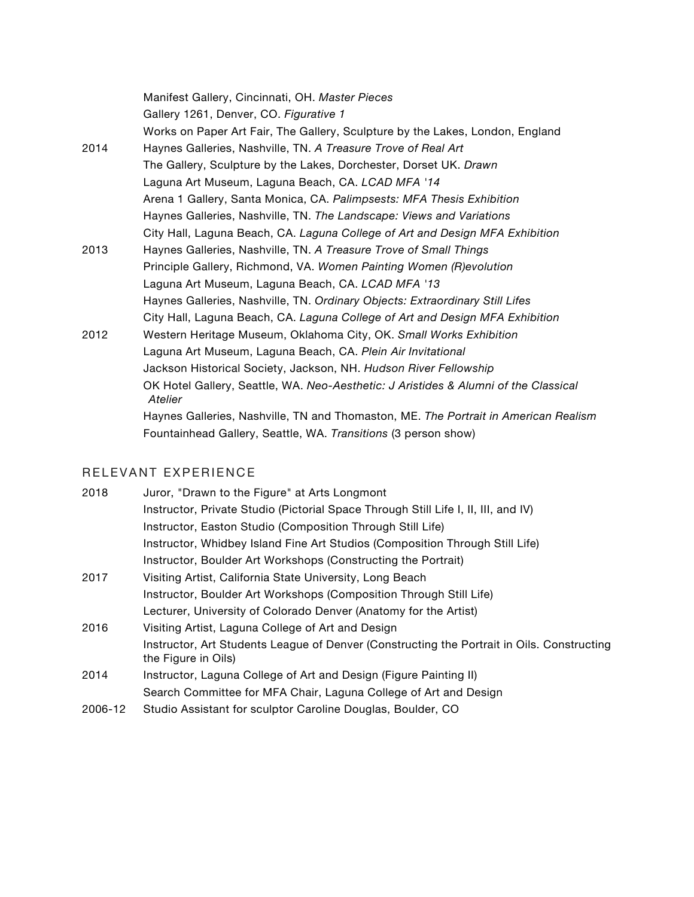|      | Manifest Gallery, Cincinnati, OH. Master Pieces                                                |
|------|------------------------------------------------------------------------------------------------|
|      | Gallery 1261, Denver, CO. Figurative 1                                                         |
|      | Works on Paper Art Fair, The Gallery, Sculpture by the Lakes, London, England                  |
| 2014 | Haynes Galleries, Nashville, TN. A Treasure Trove of Real Art                                  |
|      | The Gallery, Sculpture by the Lakes, Dorchester, Dorset UK. Drawn                              |
|      | Laguna Art Museum, Laguna Beach, CA. LCAD MFA '14                                              |
|      | Arena 1 Gallery, Santa Monica, CA. Palimpsests: MFA Thesis Exhibition                          |
|      | Haynes Galleries, Nashville, TN. The Landscape: Views and Variations                           |
|      | City Hall, Laguna Beach, CA. Laguna College of Art and Design MFA Exhibition                   |
| 2013 | Haynes Galleries, Nashville, TN. A Treasure Trove of Small Things                              |
|      | Principle Gallery, Richmond, VA. Women Painting Women (R)evolution                             |
|      | Laguna Art Museum, Laguna Beach, CA. LCAD MFA '13                                              |
|      | Haynes Galleries, Nashville, TN. Ordinary Objects: Extraordinary Still Lifes                   |
|      | City Hall, Laguna Beach, CA. Laguna College of Art and Design MFA Exhibition                   |
| 2012 | Western Heritage Museum, Oklahoma City, OK. Small Works Exhibition                             |
|      | Laguna Art Museum, Laguna Beach, CA. Plein Air Invitational                                    |
|      | Jackson Historical Society, Jackson, NH. Hudson River Fellowship                               |
|      | OK Hotel Gallery, Seattle, WA. Neo-Aesthetic: J Aristides & Alumni of the Classical<br>Atelier |
|      | Haynes Galleries, Nashville, TN and Thomaston, ME. The Portrait in American Realism            |
|      | Fountainhead Gallery, Seattle, WA. Transitions (3 person show)                                 |
|      |                                                                                                |

## RELEVANT EXPERIENCE

| 2018 | Juror, "Drawn to the Figure" at Arts Longmont                                                                     |
|------|-------------------------------------------------------------------------------------------------------------------|
|      | Instructor, Private Studio (Pictorial Space Through Still Life I, II, III, and IV)                                |
|      | Instructor, Easton Studio (Composition Through Still Life)                                                        |
|      | Instructor, Whidbey Island Fine Art Studios (Composition Through Still Life)                                      |
|      | Instructor, Boulder Art Workshops (Constructing the Portrait)                                                     |
| 2017 | Visiting Artist, California State University, Long Beach                                                          |
|      | Instructor, Boulder Art Workshops (Composition Through Still Life)                                                |
|      | Lecturer, University of Colorado Denver (Anatomy for the Artist)                                                  |
| 2016 | Visiting Artist, Laguna College of Art and Design                                                                 |
|      | Instructor, Art Students League of Denver (Constructing the Portrait in Oils. Constructing<br>the Figure in Oils) |
| 2014 | Instructor, Laguna College of Art and Design (Figure Painting II)                                                 |
|      | Search Committee for MFA Chair, Laguna College of Art and Design                                                  |

2006-12 Studio Assistant for sculptor Caroline Douglas, Boulder, CO